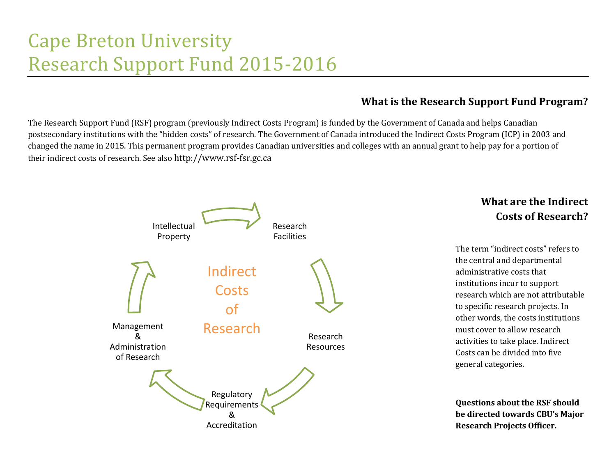# Cape Breton University Research Support Fund 2015-2016

## **What is the Research Support Fund Program?**

The Research Support Fund (RSF) program (previously Indirect Costs Program) is funded by the Government of Canada and helps Canadian postsecondary institutions with the "hidden costs" of research. The Government of Canada introduced the Indirect Costs Program (ICP) in 2003 and changed the name in 2015. This permanent program provides Canadian universities and colleges with an annual grant to help pay for a portion of their indirect costs of research. See also http://www.rsf-fsr.gc.ca



# **What are the Indirect Costs of Research?**

The term "indirect costs" refers to the central and departmental administrative costs that institutions incur to support research which are not attributable to specific research projects. In other words, the costs institutions must cover to allow research activities to take place. Indirect Costs can be divided into five general categories.

**Questions about the RSF should be directed towards CBU's Major Research Projects Officer.**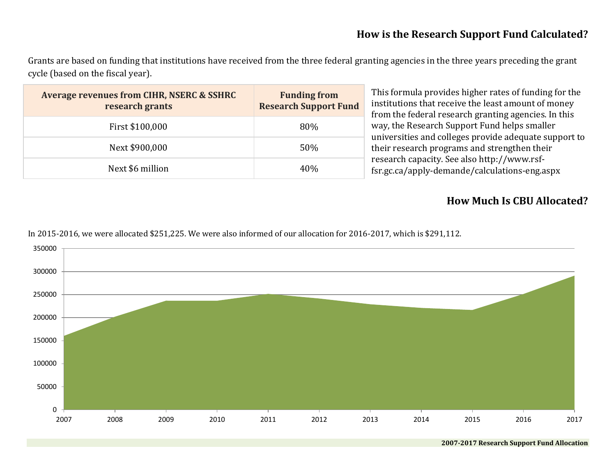#### **How is the Research Support Fund Calculated?**

Grants are based on funding that institutions have received from the three federal granting agencies in the three years preceding the grant cycle (based on the fiscal year).

| <b>Average revenues from CIHR, NSERC &amp; SSHRC</b><br>research grants | <b>Funding from</b><br><b>Research Support Fund</b> | This formula provides higher rates of funding for the<br>institutions that receive the least amount of money<br>from the federal research granting agencies. In this<br>way, the Research Support Fund helps smaller<br>universities and colleges provide adequate support to<br>their research programs and strengthen their<br>research capacity. See also http://www.rsf-<br>fsr.gc.ca/apply-demande/calculations-eng.aspx |
|-------------------------------------------------------------------------|-----------------------------------------------------|-------------------------------------------------------------------------------------------------------------------------------------------------------------------------------------------------------------------------------------------------------------------------------------------------------------------------------------------------------------------------------------------------------------------------------|
| First \$100,000                                                         | 80%                                                 |                                                                                                                                                                                                                                                                                                                                                                                                                               |
| Next \$900,000                                                          | 50%                                                 |                                                                                                                                                                                                                                                                                                                                                                                                                               |
| Next \$6 million                                                        | 40%                                                 |                                                                                                                                                                                                                                                                                                                                                                                                                               |

### **How Much Is CBU Allocated?**

In 2015-2016, we were allocated \$251,225. We were also informed of our allocation for 2016-2017, which is \$291,112.